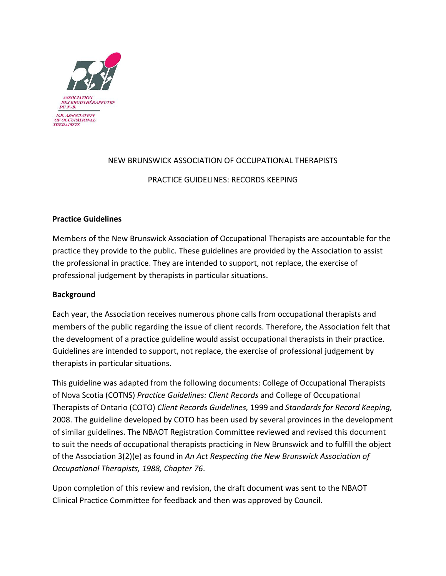

# NEW BRUNSWICK ASSOCIATION OF OCCUPATIONAL THERAPISTS

## PRACTICE GUIDELINES: RECORDS KEEPING

## **Practice Guidelines**

Members of the New Brunswick Association of Occupational Therapists are accountable for the practice they provide to the public. These guidelines are provided by the Association to assist the professional in practice. They are intended to support, not replace, the exercise of professional judgement by therapists in particular situations.

## **Background**

Each year, the Association receives numerous phone calls from occupational therapists and members of the public regarding the issue of client records. Therefore, the Association felt that the development of a practice guideline would assist occupational therapists in their practice. Guidelines are intended to support, not replace, the exercise of professional judgement by therapists in particular situations.

This guideline was adapted from the following documents: College of Occupational Therapists of Nova Scotia (COTNS) Practice Guidelines: Client Records and College of Occupational Therapists of Ontario (COTO) *Client Records Guidelines,* 1999 and *Standards for Record Keeping,* 2008. The guideline developed by COTO has been used by several provinces in the development of similar guidelines. The NBAOT Registration Committee reviewed and revised this document to suit the needs of occupational therapists practicing in New Brunswick and to fulfill the object of the Association 3(2)(e) as found in An Act Respecting the New Brunswick Association of *Occupational Therapists, 1988, Chapter 76*.

Upon completion of this review and revision, the draft document was sent to the NBAOT Clinical Practice Committee for feedback and then was approved by Council.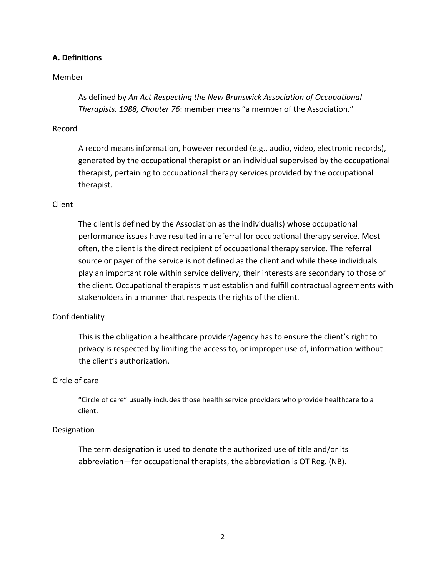## **A. Definitions**

#### Member

As defined by An Act Respecting the New Brunswick Association of Occupational *Therapists. 1988, Chapter 76:* member means "a member of the Association."

#### Record

A record means information, however recorded (e.g., audio, video, electronic records), generated by the occupational therapist or an individual supervised by the occupational therapist, pertaining to occupational therapy services provided by the occupational therapist.

### Client

The client is defined by the Association as the individual(s) whose occupational performance issues have resulted in a referral for occupational therapy service. Most often, the client is the direct recipient of occupational therapy service. The referral source or payer of the service is not defined as the client and while these individuals play an important role within service delivery, their interests are secondary to those of the client. Occupational therapists must establish and fulfill contractual agreements with stakeholders in a manner that respects the rights of the client.

#### Confidentiality

This is the obligation a healthcare provider/agency has to ensure the client's right to privacy is respected by limiting the access to, or improper use of, information without the client's authorization.

#### Circle of care

"Circle of care" usually includes those health service providers who provide healthcare to a client.

#### **Designation**

The term designation is used to denote the authorized use of title and/or its abbreviation—for occupational therapists, the abbreviation is OT Reg. (NB).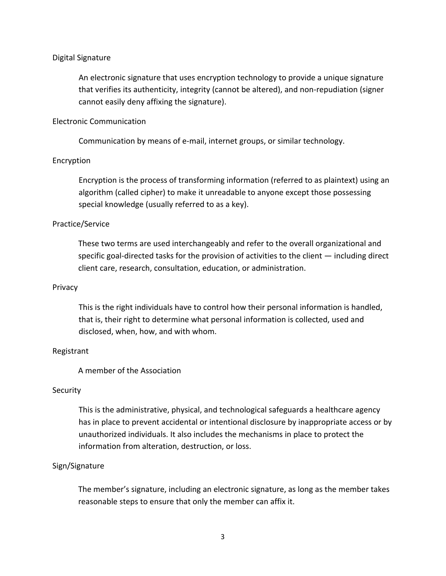## Digital Signature

An electronic signature that uses encryption technology to provide a unique signature that verifies its authenticity, integrity (cannot be altered), and non-repudiation (signer cannot easily deny affixing the signature).

## Electronic Communication

Communication by means of e-mail, internet groups, or similar technology.

## Encryption

Encryption is the process of transforming information (referred to as plaintext) using an algorithm (called cipher) to make it unreadable to anyone except those possessing special knowledge (usually referred to as a key).

## Practice/Service

These two terms are used interchangeably and refer to the overall organizational and specific goal-directed tasks for the provision of activities to the client  $-$  including direct client care, research, consultation, education, or administration.

#### Privacy

This is the right individuals have to control how their personal information is handled, that is, their right to determine what personal information is collected, used and disclosed, when, how, and with whom.

#### Registrant

A member of the Association

#### **Security**

This is the administrative, physical, and technological safeguards a healthcare agency has in place to prevent accidental or intentional disclosure by inappropriate access or by unauthorized individuals. It also includes the mechanisms in place to protect the information from alteration, destruction, or loss.

## Sign/Signature

The member's signature, including an electronic signature, as long as the member takes reasonable steps to ensure that only the member can affix it.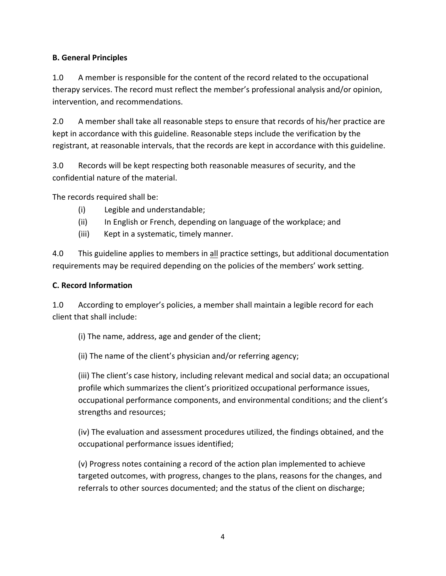# **B. General Principles**

1.0 A member is responsible for the content of the record related to the occupational therapy services. The record must reflect the member's professional analysis and/or opinion, intervention, and recommendations.

2.0 A member shall take all reasonable steps to ensure that records of his/her practice are kept in accordance with this guideline. Reasonable steps include the verification by the registrant, at reasonable intervals, that the records are kept in accordance with this guideline.

3.0 Records will be kept respecting both reasonable measures of security, and the confidential nature of the material.

The records required shall be:

- (i) Legible and understandable;
- (ii) In English or French, depending on language of the workplace; and
- (iii) Kept in a systematic, timely manner.

4.0 This guideline applies to members in all practice settings, but additional documentation requirements may be required depending on the policies of the members' work setting.

## **C. Record Information**

1.0 According to employer's policies, a member shall maintain a legible record for each client that shall include:

(i) The name, address, age and gender of the client;

(ii) The name of the client's physician and/or referring agency;

(iii) The client's case history, including relevant medical and social data; an occupational profile which summarizes the client's prioritized occupational performance issues, occupational performance components, and environmental conditions; and the client's strengths and resources;

(iv) The evaluation and assessment procedures utilized, the findings obtained, and the occupational performance issues identified;

(v) Progress notes containing a record of the action plan implemented to achieve targeted outcomes, with progress, changes to the plans, reasons for the changes, and referrals to other sources documented; and the status of the client on discharge;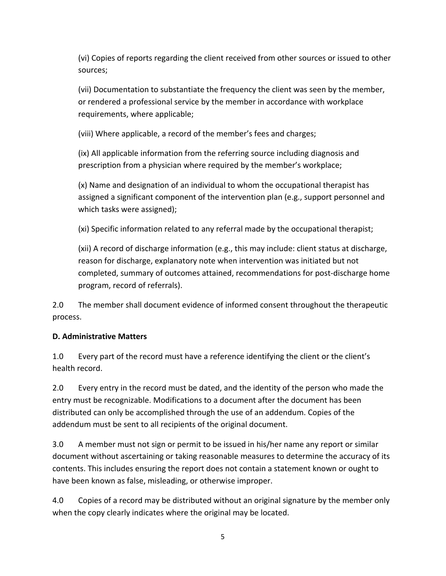(vi) Copies of reports regarding the client received from other sources or issued to other sources;

(vii) Documentation to substantiate the frequency the client was seen by the member, or rendered a professional service by the member in accordance with workplace requirements, where applicable;

(viii) Where applicable, a record of the member's fees and charges;

(ix) All applicable information from the referring source including diagnosis and prescription from a physician where required by the member's workplace;

(x) Name and designation of an individual to whom the occupational therapist has assigned a significant component of the intervention plan (e.g., support personnel and which tasks were assigned);

(xi) Specific information related to any referral made by the occupational therapist;

(xii) A record of discharge information (e.g., this may include: client status at discharge, reason for discharge, explanatory note when intervention was initiated but not completed, summary of outcomes attained, recommendations for post-discharge home program, record of referrals).

2.0 The member shall document evidence of informed consent throughout the therapeutic process. 

# **D. Administrative Matters**

1.0 Every part of the record must have a reference identifying the client or the client's health record.

2.0 Every entry in the record must be dated, and the identity of the person who made the entry must be recognizable. Modifications to a document after the document has been distributed can only be accomplished through the use of an addendum. Copies of the addendum must be sent to all recipients of the original document.

3.0 A member must not sign or permit to be issued in his/her name any report or similar document without ascertaining or taking reasonable measures to determine the accuracy of its contents. This includes ensuring the report does not contain a statement known or ought to have been known as false, misleading, or otherwise improper.

4.0 Copies of a record may be distributed without an original signature by the member only when the copy clearly indicates where the original may be located.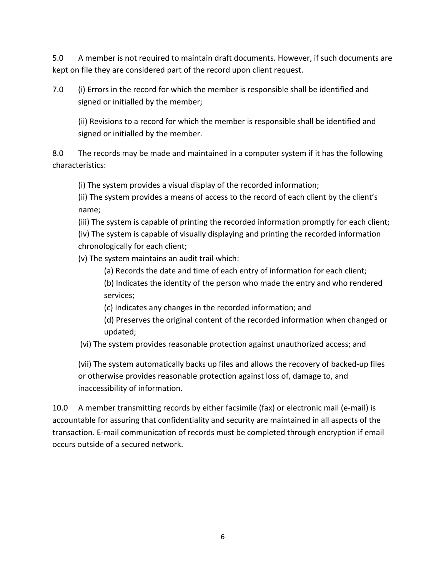5.0 A member is not required to maintain draft documents. However, if such documents are kept on file they are considered part of the record upon client request.

7.0 (i) Errors in the record for which the member is responsible shall be identified and signed or initialled by the member;

(ii) Revisions to a record for which the member is responsible shall be identified and signed or initialled by the member.

8.0 The records may be made and maintained in a computer system if it has the following characteristics: 

(i) The system provides a visual display of the recorded information;

(ii) The system provides a means of access to the record of each client by the client's name;

(iii) The system is capable of printing the recorded information promptly for each client; (iv) The system is capable of visually displaying and printing the recorded information chronologically for each client;

(v) The system maintains an audit trail which:

(a) Records the date and time of each entry of information for each client;

(b) Indicates the identity of the person who made the entry and who rendered services; 

(c) Indicates any changes in the recorded information; and

(d) Preserves the original content of the recorded information when changed or updated;

(vi) The system provides reasonable protection against unauthorized access; and

(vii) The system automatically backs up files and allows the recovery of backed-up files or otherwise provides reasonable protection against loss of, damage to, and inaccessibility of information.

10.0 A member transmitting records by either facsimile (fax) or electronic mail (e-mail) is accountable for assuring that confidentiality and security are maintained in all aspects of the transaction. E-mail communication of records must be completed through encryption if email occurs outside of a secured network.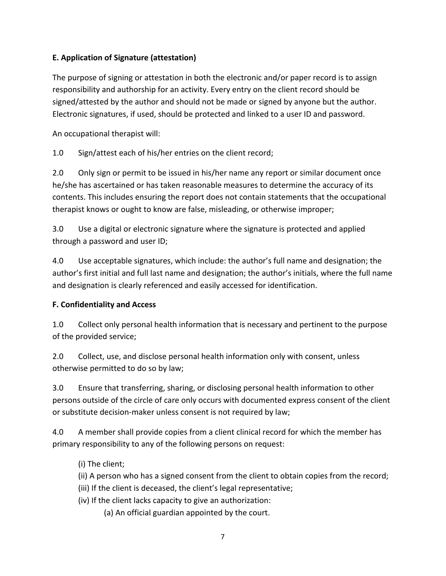# **E. Application of Signature (attestation)**

The purpose of signing or attestation in both the electronic and/or paper record is to assign responsibility and authorship for an activity. Every entry on the client record should be signed/attested by the author and should not be made or signed by anyone but the author. Electronic signatures, if used, should be protected and linked to a user ID and password.

An occupational therapist will:

1.0 Sign/attest each of his/her entries on the client record;

2.0 Only sign or permit to be issued in his/her name any report or similar document once he/she has ascertained or has taken reasonable measures to determine the accuracy of its contents. This includes ensuring the report does not contain statements that the occupational therapist knows or ought to know are false, misleading, or otherwise improper;

3.0 Use a digital or electronic signature where the signature is protected and applied through a password and user ID;

4.0 Use acceptable signatures, which include: the author's full name and designation; the author's first initial and full last name and designation; the author's initials, where the full name and designation is clearly referenced and easily accessed for identification.

## **F. Confidentiality and Access**

1.0 Collect only personal health information that is necessary and pertinent to the purpose of the provided service;

2.0 Collect, use, and disclose personal health information only with consent, unless otherwise permitted to do so by law;

3.0 Ensure that transferring, sharing, or disclosing personal health information to other persons outside of the circle of care only occurs with documented express consent of the client or substitute decision-maker unless consent is not required by law;

4.0 A member shall provide copies from a client clinical record for which the member has primary responsibility to any of the following persons on request:

- (i) The client;
- (ii) A person who has a signed consent from the client to obtain copies from the record;
- (iii) If the client is deceased, the client's legal representative;
- (iv) If the client lacks capacity to give an authorization:
	- (a) An official guardian appointed by the court.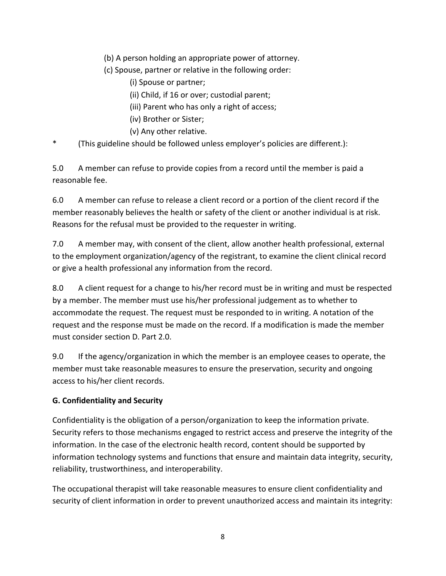(b) A person holding an appropriate power of attorney.

(c) Spouse, partner or relative in the following order:

(i) Spouse or partner;

(ii) Child, if 16 or over; custodial parent;

(iii) Parent who has only a right of access;

(iv) Brother or Sister;

(v) Any other relative.

(This guideline should be followed unless employer's policies are different.):

5.0 A member can refuse to provide copies from a record until the member is paid a reasonable fee.

6.0 A member can refuse to release a client record or a portion of the client record if the member reasonably believes the health or safety of the client or another individual is at risk. Reasons for the refusal must be provided to the requester in writing.

7.0 A member may, with consent of the client, allow another health professional, external to the employment organization/agency of the registrant, to examine the client clinical record or give a health professional any information from the record.

8.0 A client request for a change to his/her record must be in writing and must be respected by a member. The member must use his/her professional judgement as to whether to accommodate the request. The request must be responded to in writing. A notation of the request and the response must be made on the record. If a modification is made the member must consider section D. Part 2.0.

9.0 If the agency/organization in which the member is an employee ceases to operate, the member must take reasonable measures to ensure the preservation, security and ongoing access to his/her client records.

# **G. Confidentiality and Security**

Confidentiality is the obligation of a person/organization to keep the information private. Security refers to those mechanisms engaged to restrict access and preserve the integrity of the information. In the case of the electronic health record, content should be supported by information technology systems and functions that ensure and maintain data integrity, security, reliability, trustworthiness, and interoperability.

The occupational therapist will take reasonable measures to ensure client confidentiality and security of client information in order to prevent unauthorized access and maintain its integrity: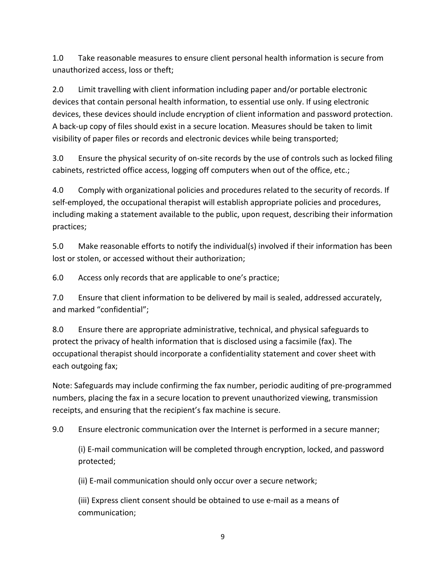1.0 Take reasonable measures to ensure client personal health information is secure from unauthorized access, loss or theft;

2.0 Limit travelling with client information including paper and/or portable electronic devices that contain personal health information, to essential use only. If using electronic devices, these devices should include encryption of client information and password protection. A back-up copy of files should exist in a secure location. Measures should be taken to limit visibility of paper files or records and electronic devices while being transported;

3.0 Ensure the physical security of on-site records by the use of controls such as locked filing cabinets, restricted office access, logging off computers when out of the office, etc.;

4.0 Comply with organizational policies and procedures related to the security of records. If self-employed, the occupational therapist will establish appropriate policies and procedures, including making a statement available to the public, upon request, describing their information practices;

5.0 Make reasonable efforts to notify the individual(s) involved if their information has been lost or stolen, or accessed without their authorization;

6.0 Access only records that are applicable to one's practice;

7.0 Ensure that client information to be delivered by mail is sealed, addressed accurately, and marked "confidential";

8.0 Ensure there are appropriate administrative, technical, and physical safeguards to protect the privacy of health information that is disclosed using a facsimile (fax). The occupational therapist should incorporate a confidentiality statement and cover sheet with each outgoing fax;

Note: Safeguards may include confirming the fax number, periodic auditing of pre-programmed numbers, placing the fax in a secure location to prevent unauthorized viewing, transmission receipts, and ensuring that the recipient's fax machine is secure.

9.0 Ensure electronic communication over the Internet is performed in a secure manner;

(i) E-mail communication will be completed through encryption, locked, and password protected;

(ii) E-mail communication should only occur over a secure network;

(iii) Express client consent should be obtained to use e-mail as a means of communication;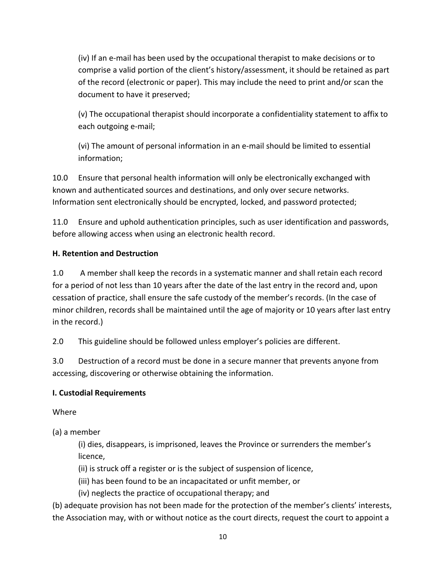(iv) If an e-mail has been used by the occupational therapist to make decisions or to comprise a valid portion of the client's history/assessment, it should be retained as part of the record (electronic or paper). This may include the need to print and/or scan the document to have it preserved;

(v) The occupational therapist should incorporate a confidentiality statement to affix to each outgoing e-mail;

(vi) The amount of personal information in an e-mail should be limited to essential information;

10.0 Ensure that personal health information will only be electronically exchanged with known and authenticated sources and destinations, and only over secure networks. Information sent electronically should be encrypted, locked, and password protected;

11.0 Ensure and uphold authentication principles, such as user identification and passwords, before allowing access when using an electronic health record.

# **H. Retention and Destruction**

1.0 A member shall keep the records in a systematic manner and shall retain each record for a period of not less than 10 years after the date of the last entry in the record and, upon cessation of practice, shall ensure the safe custody of the member's records. (In the case of minor children, records shall be maintained until the age of majority or 10 years after last entry in the record.)

2.0 This guideline should be followed unless employer's policies are different.

3.0 Destruction of a record must be done in a secure manner that prevents anyone from accessing, discovering or otherwise obtaining the information.

# **I. Custodial Requirements**

Where

(a) a member

(i) dies, disappears, is imprisoned, leaves the Province or surrenders the member's licence,

(ii) is struck off a register or is the subject of suspension of licence,

(iii) has been found to be an incapacitated or unfit member, or

(iv) neglects the practice of occupational therapy; and

(b) adequate provision has not been made for the protection of the member's clients' interests, the Association may, with or without notice as the court directs, request the court to appoint a